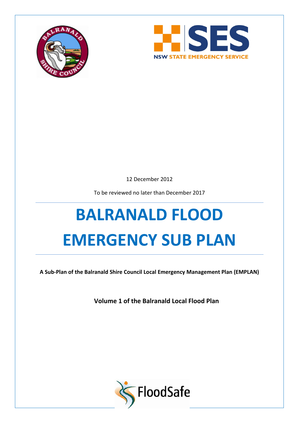



12 December 2012

To be reviewed no later than December 2017

# **BALRANALD FLOOD EMERGENCY SUB PLAN**

**A Sub-Plan of the Balranald Shire Council Local Emergency Management Plan (EMPLAN)**

**Volume 1 of the Balranald Local Flood Plan**

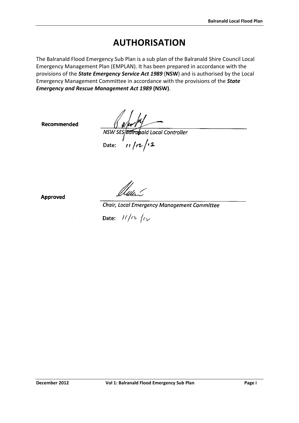# **AUTHORISATION**

<span id="page-1-0"></span>The Balranald Flood Emergency Sub Plan is a sub plan of the Balranald Shire Council Local Emergency Management Plan (EMPLAN). It has been prepared in accordance with the provisions of the *State Emergency Service Act 1989* (**NSW**) and is authorised by the Local Emergency Management Committee in accordance with the provisions of the *State Emergency and Rescue Management Act 1989* **(NSW)**.

Recommended

 $\frac{1}{\sqrt{w}}$ <br>
NSW SES Bottabald Local Controller<br>
Date:  $\frac{1}{\sqrt{2}}$ 

Approved

Chair, Local Emergency Management Committee

Date:  $11/n$   $(n)$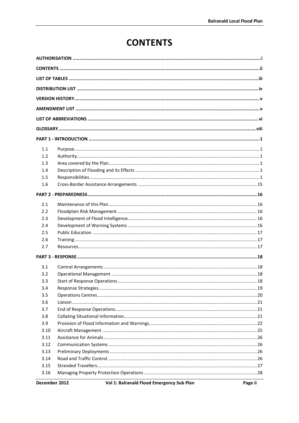# **CONTENTS**

<span id="page-2-0"></span>

| 1.1  |  |  |  |
|------|--|--|--|
| 1.2  |  |  |  |
| 1.3  |  |  |  |
| 1.4  |  |  |  |
| 1.5  |  |  |  |
| 1.6  |  |  |  |
|      |  |  |  |
| 2.1  |  |  |  |
| 2.2  |  |  |  |
| 2.3  |  |  |  |
| 2.4  |  |  |  |
| 2.5  |  |  |  |
| 2.6  |  |  |  |
| 2.7  |  |  |  |
|      |  |  |  |
| 3.1  |  |  |  |
| 3.2  |  |  |  |
| 3.3  |  |  |  |
| 3.4  |  |  |  |
| 3.5  |  |  |  |
| 3.6  |  |  |  |
| 3.7  |  |  |  |
| 3.8  |  |  |  |
| 3.9  |  |  |  |
| 3.10 |  |  |  |
| 3.11 |  |  |  |
| 3.12 |  |  |  |
| 3.13 |  |  |  |
| 3.14 |  |  |  |
| 3.15 |  |  |  |
| 3.16 |  |  |  |
|      |  |  |  |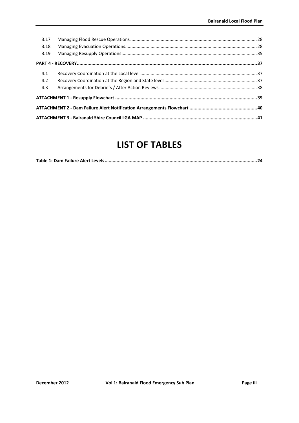| 3.17 |  |  |
|------|--|--|
| 3.18 |  |  |
| 3.19 |  |  |
|      |  |  |
| 4.1  |  |  |
| 4.2  |  |  |
| 4.3  |  |  |
|      |  |  |
|      |  |  |
|      |  |  |

# **LIST OF TABLES**

<span id="page-3-0"></span>

|--|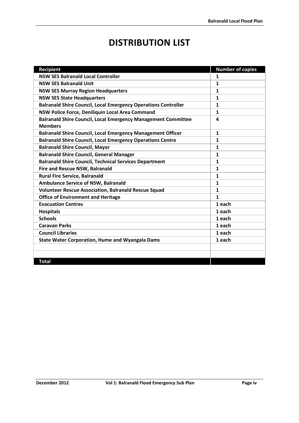# **DISTRIBUTION LIST**

<span id="page-4-0"></span>

| <b>Recipient</b>                                                                       | <b>Number of copies</b> |
|----------------------------------------------------------------------------------------|-------------------------|
| <b>NSW SES Balranald Local Controller</b>                                              | $\mathbf{1}$            |
| <b>NSW SES Balranald Unit</b>                                                          | $\mathbf{1}$            |
| <b>NSW SES Murray Region Headquarters</b>                                              | $\mathbf{1}$            |
| <b>NSW SES State Headquarters</b>                                                      | $\mathbf{1}$            |
| <b>Balranald Shire Council, Local Emergency Operations Controller</b>                  | $\mathbf{1}$            |
| NSW Police Force, Deniliquin Local Area Command                                        | 1                       |
| <b>Balranald Shire Council, Local Emergency Management Committee</b><br><b>Members</b> | 4                       |
| <b>Balranald Shire Council, Local Emergency Management Officer</b>                     | $\mathbf{1}$            |
| <b>Balranald Shire Council, Local Emergency Operations Centre</b>                      | $\mathbf{1}$            |
| <b>Balranald Shire Council, Mayor</b>                                                  | $\mathbf{1}$            |
| <b>Balranald Shire Council, General Manager</b>                                        | $\mathbf{1}$            |
| <b>Balranald Shire Council, Technical Services Department</b>                          | $\mathbf{1}$            |
| <b>Fire and Rescue NSW, Balranald</b>                                                  | $\mathbf{1}$            |
| <b>Rural Fire Service, Balranald</b>                                                   | $\mathbf{1}$            |
| <b>Ambulance Service of NSW, Balranald</b>                                             | $\mathbf{1}$            |
| <b>Volunteer Rescue Association, Balranald Rescue Squad</b>                            | $\mathbf{1}$            |
| <b>Office of Environment and Heritage</b>                                              | $\mathbf{1}$            |
| <b>Evacuation Centres</b>                                                              | 1 each                  |
| <b>Hospitals</b>                                                                       | 1 each                  |
| <b>Schools</b>                                                                         | 1 each                  |
| <b>Caravan Parks</b>                                                                   | 1 each                  |
| <b>Council Libraries</b>                                                               | 1 each                  |
| <b>State Water Corporation, Hume and Wyangala Dams</b>                                 | 1 each                  |
|                                                                                        |                         |
|                                                                                        |                         |
| <b>Total</b>                                                                           |                         |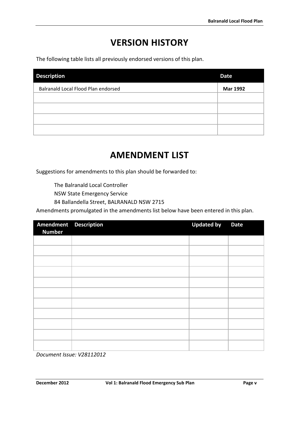# **VERSION HISTORY**

<span id="page-5-0"></span>The following table lists all previously endorsed versions of this plan.

| <b>Description</b>                  | <b>Date</b>     |
|-------------------------------------|-----------------|
| Balranald Local Flood Plan endorsed | <b>Mar 1992</b> |
|                                     |                 |
|                                     |                 |
|                                     |                 |
|                                     |                 |

# **AMENDMENT LIST**

<span id="page-5-1"></span>Suggestions for amendments to this plan should be forwarded to:

The Balranald Local Controller

NSW State Emergency Service

84 Ballandella Street, BALRANALD NSW 2715

Amendments promulgated in the amendments list below have been entered in this plan.

| Amendment Description<br><b>Number</b> | <b>Updated by</b> | <b>Date</b> |
|----------------------------------------|-------------------|-------------|
|                                        |                   |             |
|                                        |                   |             |
|                                        |                   |             |
|                                        |                   |             |
|                                        |                   |             |
|                                        |                   |             |
|                                        |                   |             |
|                                        |                   |             |
|                                        |                   |             |
|                                        |                   |             |
|                                        |                   |             |

*Document Issue: V28112012*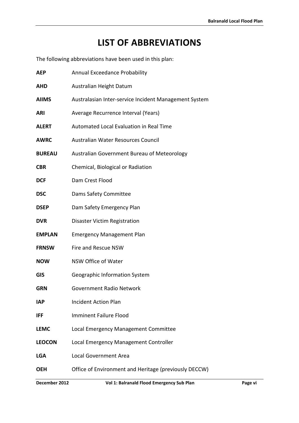# **LIST OF ABBREVIATIONS**

<span id="page-6-0"></span>The following abbreviations have been used in this plan:

| <b>AEP</b>    | <b>Annual Exceedance Probability</b>                  |  |  |
|---------------|-------------------------------------------------------|--|--|
| <b>AHD</b>    | Australian Height Datum                               |  |  |
| <b>AIIMS</b>  | Australasian Inter-service Incident Management System |  |  |
| <b>ARI</b>    | Average Recurrence Interval (Years)                   |  |  |
| <b>ALERT</b>  | Automated Local Evaluation in Real Time               |  |  |
| <b>AWRC</b>   | Australian Water Resources Council                    |  |  |
| <b>BUREAU</b> | Australian Government Bureau of Meteorology           |  |  |
| <b>CBR</b>    | Chemical, Biological or Radiation                     |  |  |
| <b>DCF</b>    | Dam Crest Flood                                       |  |  |
| <b>DSC</b>    | Dams Safety Committee                                 |  |  |
| <b>DSEP</b>   | Dam Safety Emergency Plan                             |  |  |
| <b>DVR</b>    | Disaster Victim Registration                          |  |  |
| <b>EMPLAN</b> | <b>Emergency Management Plan</b>                      |  |  |
| <b>FRNSW</b>  | Fire and Rescue NSW                                   |  |  |
| <b>NOW</b>    | NSW Office of Water                                   |  |  |
| <b>GIS</b>    | Geographic Information System                         |  |  |
| <b>GRN</b>    | <b>Government Radio Network</b>                       |  |  |
| IAP           | <b>Incident Action Plan</b>                           |  |  |
| IFF           | <b>Imminent Failure Flood</b>                         |  |  |
| <b>LEMC</b>   | Local Emergency Management Committee                  |  |  |
| <b>LEOCON</b> | Local Emergency Management Controller                 |  |  |
| <b>LGA</b>    | <b>Local Government Area</b>                          |  |  |
| <b>OEH</b>    | Office of Environment and Heritage (previously DECCW) |  |  |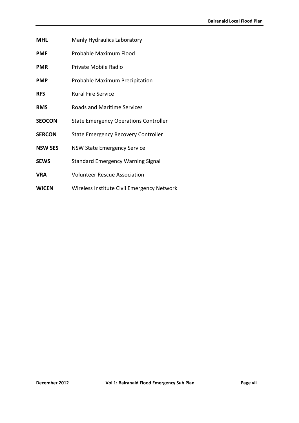- **MHL** Manly Hydraulics Laboratory
- **PMF** Probable Maximum Flood
- **PMR** Private Mobile Radio
- **PMP** Probable Maximum Precipitation
- **RFS** Rural Fire Service
- **RMS** Roads and Maritime Services
- **SEOCON** State Emergency Operations Controller
- **SERCON** State Emergency Recovery Controller
- **NSW SES** NSW State Emergency Service
- **SEWS** Standard Emergency Warning Signal
- **VRA** Volunteer Rescue Association
- **WICEN** Wireless Institute Civil Emergency Network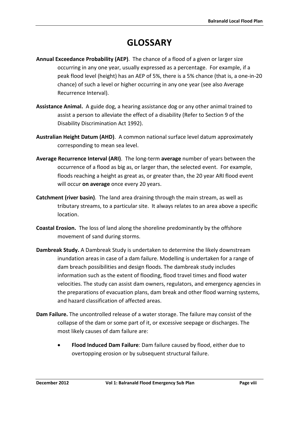# **GLOSSARY**

- <span id="page-8-0"></span>**Annual Exceedance Probability (AEP)**. The chance of a flood of a given or larger size occurring in any one year, usually expressed as a percentage. For example, if a peak flood level (height) has an AEP of 5%, there is a 5% chance (that is, a one-in-20 chance) of such a level or higher occurring in any one year (see also Average Recurrence Interval).
- **Assistance Animal.** A guide dog, a hearing assistance dog or any other animal trained to assist a person to alleviate the effect of a disability (Refer to Section 9 of the Disability Discrimination Act 1992).
- **Australian Height Datum (AHD)**. A common national surface level datum approximately corresponding to mean sea level.
- **Average Recurrence Interval (ARI)**. The long-term **average** number of years between the occurrence of a flood as big as, or larger than, the selected event. For example, floods reaching a height as great as, or greater than, the 20 year ARI flood event will occur **on average** once every 20 years.
- **Catchment (river basin)**. The land area draining through the main stream, as well as tributary streams, to a particular site. It always relates to an area above a specific location.
- **Coastal Erosion.** The loss of land along the shoreline predominantly by the offshore movement of sand during storms.
- **Dambreak Study.** A Dambreak Study is undertaken to determine the likely downstream inundation areas in case of a dam failure. Modelling is undertaken for a range of dam breach possibilities and design floods. The dambreak study includes information such as the extent of flooding, flood travel times and flood water velocities. The study can assist dam owners, regulators, and emergency agencies in the preparations of evacuation plans, dam break and other flood warning systems, and hazard classification of affected areas.
- **Dam Failure.** The uncontrolled release of a water storage. The failure may consist of the collapse of the dam or some part of it, or excessive seepage or discharges. The most likely causes of dam failure are:
	- **Flood Induced Dam Failure**: Dam failure caused by flood, either due to overtopping erosion or by subsequent structural failure.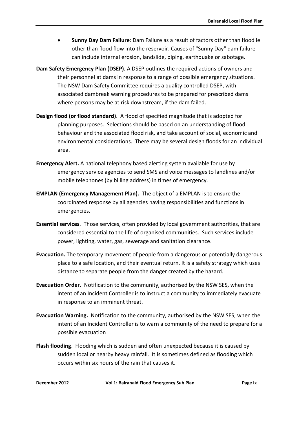- **Sunny Day Dam Failure**: Dam Failure as a result of factors other than flood ie other than flood flow into the reservoir. Causes of "Sunny Day" dam failure can include internal erosion, landslide, piping, earthquake or sabotage.
- **Dam Safety Emergency Plan (DSEP).** A DSEP outlines the required actions of owners and their personnel at dams in response to a range of possible emergency situations. The NSW Dam Safety Committee requires a quality controlled DSEP, with associated dambreak warning procedures to be prepared for prescribed dams where persons may be at risk downstream, if the dam failed.
- **Design flood (or flood standard)**. A flood of specified magnitude that is adopted for planning purposes. Selections should be based on an understanding of flood behaviour and the associated flood risk, and take account of social, economic and environmental considerations. There may be several design floods for an individual area.
- **Emergency Alert.** A national telephony based alerting system available for use by emergency service agencies to send SMS and voice messages to landlines and/or mobile telephones (by billing address) in times of emergency.
- **EMPLAN (Emergency Management Plan).** The object of a EMPLAN is to ensure the coordinated response by all agencies having responsibilities and functions in emergencies.
- **Essential services**. Those services, often provided by local government authorities, that are considered essential to the life of organised communities. Such services include power, lighting, water, gas, sewerage and sanitation clearance.
- **Evacuation.** The temporary movement of people from a dangerous or potentially dangerous place to a safe location, and their eventual return. It is a safety strategy which uses distance to separate people from the danger created by the hazard.
- **Evacuation Order.** Notification to the community, authorised by the NSW SES, when the intent of an Incident Controller is to instruct a community to immediately evacuate in response to an imminent threat.
- **Evacuation Warning.** Notification to the community, authorised by the NSW SES, when the intent of an Incident Controller is to warn a community of the need to prepare for a possible evacuation
- **Flash flooding**. Flooding which is sudden and often unexpected because it is caused by sudden local or nearby heavy rainfall. It is sometimes defined as flooding which occurs within six hours of the rain that causes it.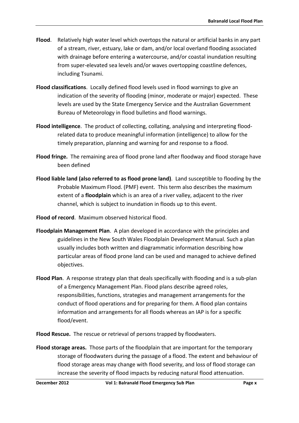- **Flood**. Relatively high water level which overtops the natural or artificial banks in any part of a stream, river, estuary, lake or dam, and/or local overland flooding associated with drainage before entering a watercourse, and/or coastal inundation resulting from super-elevated sea levels and/or waves overtopping coastline defences, including Tsunami.
- **Flood classifications**. Locally defined flood levels used in flood warnings to give an indication of the severity of flooding (minor, moderate or major) expected. These levels are used by the State Emergency Service and the Australian Government Bureau of Meteorology in flood bulletins and flood warnings.
- **Flood intelligence**. The product of collecting, collating, analysing and interpreting floodrelated data to produce meaningful information (intelligence) to allow for the timely preparation, planning and warning for and response to a flood.
- **Flood fringe.** The remaining area of flood prone land after floodway and flood storage have been defined
- **Flood liable land (also referred to as flood prone land)**. Land susceptible to flooding by the Probable Maximum Flood. (PMF) event. This term also describes the maximum extent of a **floodplain** which is an area of a river valley, adjacent to the river channel, which is subject to inundation in floods up to this event.
- **Flood of record**. Maximum observed historical flood.
- **Floodplain Management Plan**. A plan developed in accordance with the principles and guidelines in the New South Wales Floodplain Development Manual. Such a plan usually includes both written and diagrammatic information describing how particular areas of flood prone land can be used and managed to achieve defined objectives.
- **Flood Plan**. A response strategy plan that deals specifically with flooding and is a sub-plan of a Emergency Management Plan. Flood plans describe agreed roles, responsibilities, functions, strategies and management arrangements for the conduct of flood operations and for preparing for them. A flood plan contains information and arrangements for all floods whereas an IAP is for a specific flood/event.
- **Flood Rescue.** The rescue or retrieval of persons trapped by floodwaters.
- **Flood storage areas.** Those parts of the floodplain that are important for the temporary storage of floodwaters during the passage of a flood. The extent and behaviour of flood storage areas may change with flood severity, and loss of flood storage can increase the severity of flood impacts by reducing natural flood attenuation.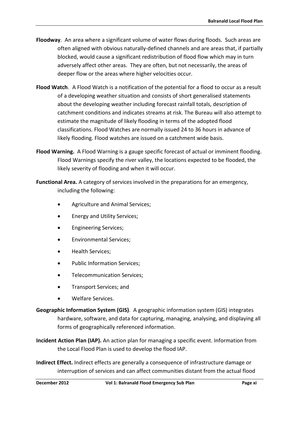- **Floodway**. An area where a significant volume of water flows during floods. Such areas are often aligned with obvious naturally-defined channels and are areas that, if partially blocked, would cause a significant redistribution of flood flow which may in turn adversely affect other areas. They are often, but not necessarily, the areas of deeper flow or the areas where higher velocities occur.
- **Flood Watch**. A Flood Watch is a notification of the potential for a flood to occur as a result of a developing weather situation and consists of short generalised statements about the developing weather including forecast rainfall totals, description of catchment conditions and indicates streams at risk. The Bureau will also attempt to estimate the magnitude of likely flooding in terms of the adopted flood classifications. Flood Watches are normally issued 24 to 36 hours in advance of likely flooding. Flood watches are issued on a catchment wide basis.
- **Flood Warning.** A Flood Warning is a gauge specific forecast of actual or imminent flooding. Flood Warnings specify the river valley, the locations expected to be flooded, the likely severity of flooding and when it will occur.

**Functional Area.** A category of services involved in the preparations for an emergency, including the following:

- Agriculture and Animal Services;
- Energy and Utility Services;
- Engineering Services;
- Environmental Services;
- Health Services;
- Public Information Services;
- Telecommunication Services;
- Transport Services; and
- Welfare Services.
- **Geographic Information System (GIS)**. A geographic information system (GIS) integrates hardware, software, and data for capturing, managing, analysing, and displaying all forms of geographically referenced information.
- **Incident Action Plan (IAP).** An action plan for managing a specific event. Information from the Local Flood Plan is used to develop the flood IAP.
- **Indirect Effect.** Indirect effects are generally a consequence of infrastructure damage or interruption of services and can affect communities distant from the actual flood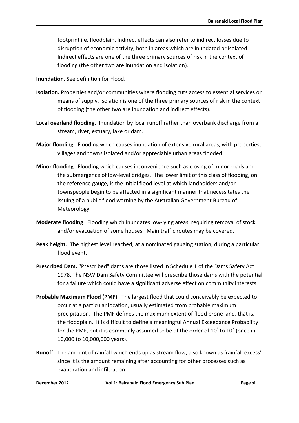footprint i.e. floodplain. Indirect effects can also refer to indirect losses due to disruption of economic activity, both in areas which are inundated or isolated. Indirect effects are one of the three primary sources of risk in the context of flooding (the other two are inundation and isolation).

**Inundation**. See definition for Flood.

- **Isolation.** Properties and/or communities where flooding cuts access to essential services or means of supply. Isolation is one of the three primary sources of risk in the context of flooding (the other two are inundation and indirect effects).
- **Local overland flooding.** Inundation by local runoff rather than overbank discharge from a stream, river, estuary, lake or dam.
- **Major flooding**. Flooding which causes inundation of extensive rural areas, with properties, villages and towns isolated and/or appreciable urban areas flooded.
- **Minor flooding**. Flooding which causes inconvenience such as closing of minor roads and the submergence of low-level bridges. The lower limit of this class of flooding, on the reference gauge, is the initial flood level at which landholders and/or townspeople begin to be affected in a significant manner that necessitates the issuing of a public flood warning by the Australian Government Bureau of Meteorology.
- **Moderate flooding**. Flooding which inundates low-lying areas, requiring removal of stock and/or evacuation of some houses. Main traffic routes may be covered.
- **Peak height**. The highest level reached, at a nominated gauging station, during a particular flood event.
- **Prescribed Dam.** "Prescribed" dams are those listed in Schedule 1 of the Dams Safety Act 1978. The NSW Dam Safety Committee will prescribe those dams with the potential for a failure which could have a significant adverse effect on community interests.
- **Probable Maximum Flood (PMF)**. The largest flood that could conceivably be expected to occur at a particular location, usually estimated from probable maximum precipitation. The PMF defines the maximum extent of flood prone land, that is, the floodplain. It is difficult to define a meaningful Annual Exceedance Probability for the PMF, but it is commonly assumed to be of the order of  $10^4$  to  $10^7$  (once in 10,000 to 10,000,000 years).
- **Runoff**. The amount of rainfall which ends up as stream flow, also known as 'rainfall excess' since it is the amount remaining after accounting for other processes such as evaporation and infiltration.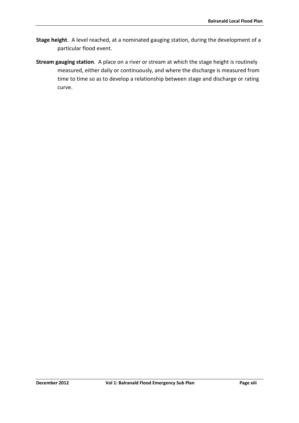- **Stage height**. A level reached, at a nominated gauging station, during the development of a particular flood event.
- **Stream gauging station**. A place on a river or stream at which the stage height is routinely measured, either daily or continuously, and where the discharge is measured from time to time so as to develop a relationship between stage and discharge or rating curve.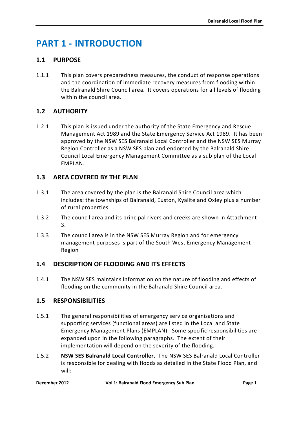# <span id="page-14-0"></span>**PART 1 - INTRODUCTION**

# <span id="page-14-1"></span>**1.1 PURPOSE**

1.1.1 This plan covers preparedness measures, the conduct of response operations and the coordination of immediate recovery measures from flooding within the Balranald Shire Council area. It covers operations for all levels of flooding within the council area.

# <span id="page-14-2"></span>**1.2 AUTHORITY**

1.2.1 This plan is issued under the authority of the State Emergency and Rescue Management Act 1989 and the State Emergency Service Act 1989. It has been approved by the NSW SES Balranald Local Controller and the NSW SES Murray Region Controller as a NSW SES plan and endorsed by the Balranald Shire Council Local Emergency Management Committee as a sub plan of the Local EMPLAN.

# <span id="page-14-3"></span>**1.3 AREA COVERED BY THE PLAN**

- 1.3.1 The area covered by the plan is the Balranald Shire Council area which includes: the townships of Balranald, Euston, Kyalite and Oxley plus a number of rural properties.
- 1.3.2 The council area and its principal rivers and creeks are shown in Attachment 3.
- 1.3.3 The council area is in the NSW SES Murray Region and for emergency management purposes is part of the South West Emergency Management Region

# <span id="page-14-4"></span>**1.4 DESCRIPTION OF FLOODING AND ITS EFFECTS**

1.4.1 The NSW SES maintains information on the nature of flooding and effects of flooding on the community in the Balranald Shire Council area.

# <span id="page-14-5"></span>**1.5 RESPONSIBILITIES**

- 1.5.1 The general responsibilities of emergency service organisations and supporting services (functional areas) are listed in the Local and State Emergency Management Plans (EMPLAN). Some specific responsibilities are expanded upon in the following paragraphs. The extent of their implementation will depend on the severity of the flooding.
- 1.5.2 **NSW SES Balranald Local Controller.** The NSW SES Balranald Local Controller is responsible for dealing with floods as detailed in the State Flood Plan, and will: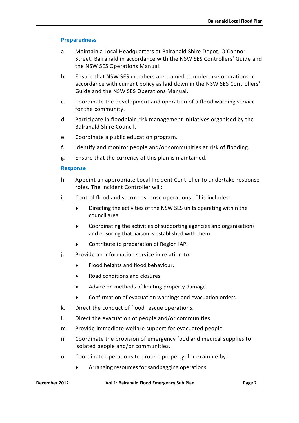#### **Preparedness**

- a. Maintain a Local Headquarters at Balranald Shire Depot, O'Connor Street, Balranald in accordance with the NSW SES Controllers' Guide and the NSW SES Operations Manual.
- b. Ensure that NSW SES members are trained to undertake operations in accordance with current policy as laid down in the NSW SES Controllers' Guide and the NSW SES Operations Manual.
- c. Coordinate the development and operation of a flood warning service for the community.
- d. Participate in floodplain risk management initiatives organised by the Balranald Shire Council.
- e. Coordinate a public education program.
- f. Identify and monitor people and/or communities at risk of flooding.
- g. Ensure that the currency of this plan is maintained.

#### **Response**

- h. Appoint an appropriate Local Incident Controller to undertake response roles. The Incident Controller will:
- i. Control flood and storm response operations. This includes:
	- Directing the activities of the NSW SES units operating within the council area.
	- Coordinating the activities of supporting agencies and organisations and ensuring that liaison is established with them.
	- Contribute to preparation of Region IAP.
- j. Provide an information service in relation to:
	- Flood heights and flood behaviour.
	- Road conditions and closures.
	- Advice on methods of limiting property damage.
	- Confirmation of evacuation warnings and evacuation orders.
- k. Direct the conduct of flood rescue operations.
- l. Direct the evacuation of people and/or communities.
- m. Provide immediate welfare support for evacuated people.
- n. Coordinate the provision of emergency food and medical supplies to isolated people and/or communities.
- o. Coordinate operations to protect property, for example by:
	- Arranging resources for sandbagging operations.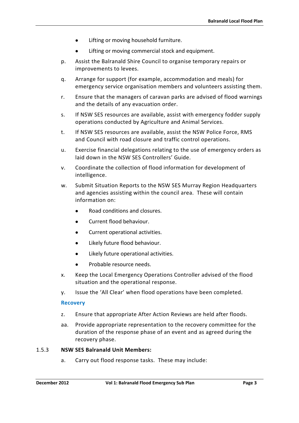- Lifting or moving household furniture.
- Lifting or moving commercial stock and equipment.
- p. Assist the Balranald Shire Council to organise temporary repairs or improvements to levees.
- q. Arrange for support (for example, accommodation and meals) for emergency service organisation members and volunteers assisting them.
- r. Ensure that the managers of caravan parks are advised of flood warnings and the details of any evacuation order.
- s. If NSW SES resources are available, assist with emergency fodder supply operations conducted by Agriculture and Animal Services.
- t. If NSW SES resources are available, assist the NSW Police Force, RMS and Council with road closure and traffic control operations.
- u. Exercise financial delegations relating to the use of emergency orders as laid down in the NSW SES Controllers' Guide.
- v. Coordinate the collection of flood information for development of intelligence.
- w. Submit Situation Reports to the NSW SES Murray Region Headquarters and agencies assisting within the council area. These will contain information on:
	- Road conditions and closures.
	- Current flood behaviour.
	- Current operational activities.
	- Likely future flood behaviour.
	- Likely future operational activities.
	- Probable resource needs.
- x. Keep the Local Emergency Operations Controller advised of the flood situation and the operational response.
- y. Issue the 'All Clear' when flood operations have been completed.

#### **Recovery**

- z. Ensure that appropriate After Action Reviews are held after floods.
- aa. Provide appropriate representation to the recovery committee for the duration of the response phase of an event and as agreed during the recovery phase.

#### 1.5.3 **NSW SES Balranald Unit Members:**

a. Carry out flood response tasks. These may include: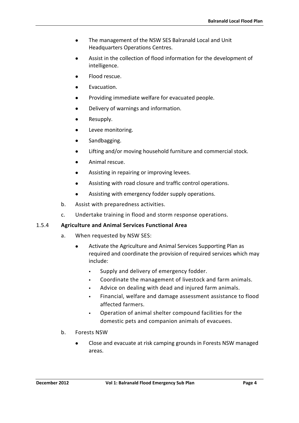- The management of the NSW SES Balranald Local and Unit Headquarters Operations Centres.
- Assist in the collection of flood information for the development of intelligence.
- Flood rescue.
- Evacuation.
- Providing immediate welfare for evacuated people.
- Delivery of warnings and information.
- Resupply.
- Levee monitoring.
- Sandbagging.
- Lifting and/or moving household furniture and commercial stock.
- Animal rescue.
- Assisting in repairing or improving levees.
- Assisting with road closure and traffic control operations.
- Assisting with emergency fodder supply operations.
- b. Assist with preparedness activities.
- c. Undertake training in flood and storm response operations.

# 1.5.4 **Agriculture and Animal Services Functional Area**

- a. When requested by NSW SES:
	- Activate the Agriculture and Animal Services Supporting Plan as required and coordinate the provision of required services which may include:
		- Supply and delivery of emergency fodder.
		- Coordinate the management of livestock and farm animals.
		- Advice on dealing with dead and injured farm animals.
		- Financial, welfare and damage assessment assistance to flood affected farmers.
		- Operation of animal shelter compound facilities for the domestic pets and companion animals of evacuees.
- b. Forests NSW
	- Close and evacuate at risk camping grounds in Forests NSW managed areas.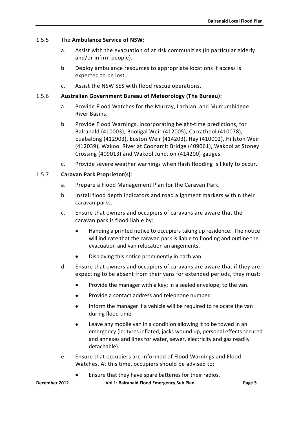#### 1.5.5 The **Ambulance Service of NSW**:

- a. Assist with the evacuation of at risk communities (in particular elderly and/or infirm people).
- b. Deploy ambulance resources to appropriate locations if access is expected to be lost.
- c. Assist the NSW SES with flood rescue operations.

#### 1.5.6 **Australian Government Bureau of Meteorology (The Bureau):**

- a. Provide Flood Watches for the Murray, Lachlan and Murrumbidgee River Basins.
- b. Provide Flood Warnings, incorporating height-time predictions, for Balranald (410003), Booligal Weir (412005), Carrathool (410078), Euabalong (412903), Euston Weir (414203), Hay (410002), Hillston Weir (412039), Wakool River at Coonamit Bridge (409061), Wakool at Stoney Crossing (409013) and Wakool Junction (414200) gauges.
- c. Provide severe weather warnings when flash flooding is likely to occur.

### 1.5.7 **Caravan Park Proprietor(s)**:

- a. Prepare a Flood Management Plan for the Caravan Park.
- b. Install flood depth indicators and road alignment markers within their caravan parks.
- c. Ensure that owners and occupiers of caravans are aware that the caravan park is flood liable by:
	- Handing a printed notice to occupiers taking up residence. The notice will indicate that the caravan park is liable to flooding and outline the evacuation and van relocation arrangements.
	- Displaying this notice prominently in each van.
- d. Ensure that owners and occupiers of caravans are aware that if they are expecting to be absent from their vans for extended periods, they must:
	- Provide the manager with a key; in a sealed envelope; to the van.
	- Provide a contact address and telephone number.
	- Inform the manager if a vehicle will be required to relocate the van during flood time.
	- Leave any mobile van in a condition allowing it to be towed in an emergency (ie: tyres inflated, jacks wound up, personal effects secured and annexes and lines for water, sewer, electricity and gas readily detachable).
- e. Ensure that occupiers are informed of Flood Warnings and Flood Watches. At this time, occupiers should be advised to:
	- Ensure that they have spare batteries for their radios.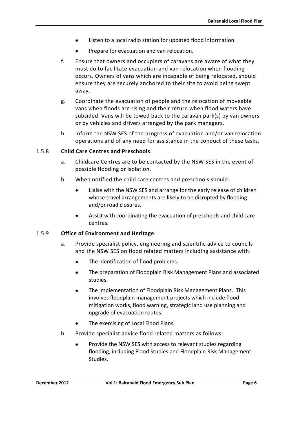- Listen to a local radio station for updated flood information.
- Prepare for evacuation and van relocation.
- f. Ensure that owners and occupiers of caravans are aware of what they must do to facilitate evacuation and van relocation when flooding occurs. Owners of vans which are incapable of being relocated, should ensure they are securely anchored to their site to avoid being swept away.
- g. Coordinate the evacuation of people and the relocation of moveable vans when floods are rising and their return when flood waters have subsided. Vans will be towed back to the caravan park(s) by van owners or by vehicles and drivers arranged by the park managers.
- h. Inform the NSW SES of the progress of evacuation and/or van relocation operations and of any need for assistance in the conduct of these tasks.

### 1.5.8 **Child Care Centres and Preschools**:

- a. Childcare Centres are to be contacted by the NSW SES in the event of possible flooding or isolation.
- b. When notified the child care centres and preschools should:
	- Liaise with the NSW SES and arrange for the early release of children whose travel arrangements are likely to be disrupted by flooding and/or road closures.
	- Assist with coordinating the evacuation of preschools and child care centres.

### 1.5.9 **Office of Environment and Heritage**:

- a. Provide specialist policy, engineering and scientific advice to councils and the NSW SES on flood related matters including assistance with:
	- The identification of flood problems.
	- The preparation of Floodplain Risk Management Plans and associated studies.
	- The implementation of Floodplain Risk Management Plans. This involves floodplain management projects which include flood mitigation works, flood warning, strategic land use planning and upgrade of evacuation routes.
	- The exercising of Local Flood Plans.
- b. Provide specialist advice flood related matters as follows:
	- Provide the NSW SES with access to relevant studies regarding flooding, including Flood Studies and Floodplain Risk Management Studies.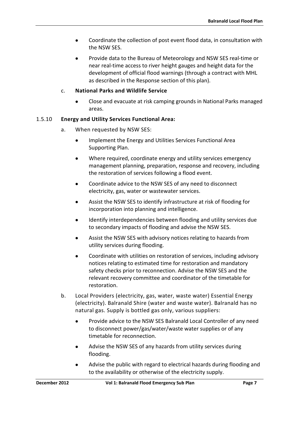- Coordinate the collection of post event flood data, in consultation with the NSW SES.
- Provide data to the Bureau of Meteorology and NSW SES real-time or near real-time access to river height gauges and height data for the development of official flood warnings (through a contract with MHL as described in the Response section of this plan).

#### c. **National Parks and Wildlife Service**

• Close and evacuate at risk camping grounds in National Parks managed areas.

#### 1.5.10 **Energy and Utility Services Functional Area:**

- a. When requested by NSW SES:
	- Implement the Energy and Utilities Services Functional Area Supporting Plan.
	- Where required, coordinate energy and utility services emergency management planning, preparation, response and recovery, including the restoration of services following a flood event.
	- Coordinate advice to the NSW SES of any need to disconnect electricity, gas, water or wastewater services.
	- Assist the NSW SES to identify infrastructure at risk of flooding for incorporation into planning and intelligence.
	- Identify interdependencies between flooding and utility services due to secondary impacts of flooding and advise the NSW SES.
	- Assist the NSW SES with advisory notices relating to hazards from utility services during flooding.
	- Coordinate with utilities on restoration of services, including advisory notices relating to estimated time for restoration and mandatory safety checks prior to reconnection. Advise the NSW SES and the relevant recovery committee and coordinator of the timetable for restoration.
- b. Local Providers (electricity, gas, water, waste water) Essential Energy (electricity). Balranald Shire (water and waste water). Balranald has no natural gas. Supply is bottled gas only, various suppliers:
	- Provide advice to the NSW SES Balranald Local Controller of any need to disconnect power/gas/water/waste water supplies or of any timetable for reconnection.
	- Advise the NSW SES of any hazards from utility services during flooding.
	- Advise the public with regard to electrical hazards during flooding and to the availability or otherwise of the electricity supply.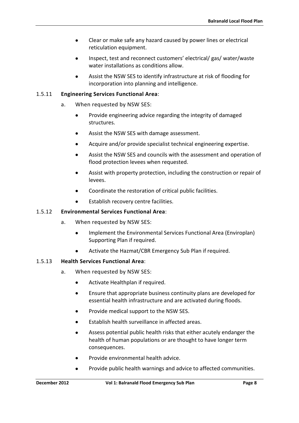- Clear or make safe any hazard caused by power lines or electrical reticulation equipment.
- Inspect, test and reconnect customers' electrical/ gas/ water/waste water installations as conditions allow.
- Assist the NSW SES to identify infrastructure at risk of flooding for incorporation into planning and intelligence.

### 1.5.11 **Engineering Services Functional Area**:

- a. When requested by NSW SES:
	- Provide engineering advice regarding the integrity of damaged structures.
	- Assist the NSW SES with damage assessment.
	- Acquire and/or provide specialist technical engineering expertise.
	- Assist the NSW SES and councils with the assessment and operation of flood protection levees when requested.
	- Assist with property protection, including the construction or repair of levees.
	- Coordinate the restoration of critical public facilities.
	- Establish recovery centre facilities.

### 1.5.12 **Environmental Services Functional Area**:

- a. When requested by NSW SES:
	- Implement the Environmental Services Functional Area (Enviroplan) Supporting Plan if required.
	- Activate the Hazmat/CBR Emergency Sub Plan if required.

### 1.5.13 **Health Services Functional Area**:

- a. When requested by NSW SES:
	- Activate Healthplan if required.
	- Ensure that appropriate business continuity plans are developed for essential health infrastructure and are activated during floods.
	- Provide medical support to the NSW SES.
	- Establish health surveillance in affected areas.
	- Assess potential public health risks that either acutely endanger the health of human populations or are thought to have longer term consequences.
	- Provide environmental health advice.
	- Provide public health warnings and advice to affected communities.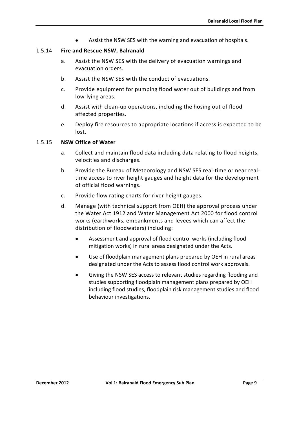Assist the NSW SES with the warning and evacuation of hospitals.

#### 1.5.14 **Fire and Rescue NSW, Balranald**

- a. Assist the NSW SES with the delivery of evacuation warnings and evacuation orders.
- b. Assist the NSW SES with the conduct of evacuations.
- c. Provide equipment for pumping flood water out of buildings and from low-lying areas.
- d. Assist with clean-up operations, including the hosing out of flood affected properties.
- e. Deploy fire resources to appropriate locations if access is expected to be lost.

#### 1.5.15 **NSW Office of Water**

- a. Collect and maintain flood data including data relating to flood heights, velocities and discharges.
- b. Provide the Bureau of Meteorology and NSW SES real-time or near realtime access to river height gauges and height data for the development of official flood warnings.
- c. Provide flow rating charts for river height gauges.
- d. Manage (with technical support from OEH) the approval process under the Water Act 1912 and Water Management Act 2000 for flood control works (earthworks, embankments and levees which can affect the distribution of floodwaters) including:
	- Assessment and approval of flood control works (including flood mitigation works) in rural areas designated under the Acts.
	- Use of floodplain management plans prepared by OEH in rural areas designated under the Acts to assess flood control work approvals.
	- Giving the NSW SES access to relevant studies regarding flooding and studies supporting floodplain management plans prepared by OEH including flood studies, floodplain risk management studies and flood behaviour investigations.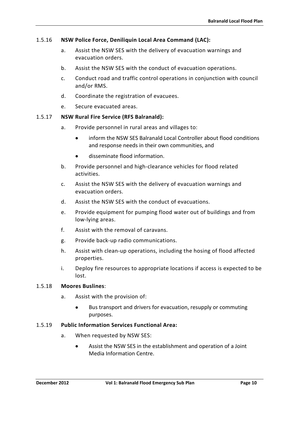### 1.5.16 **NSW Police Force, Deniliquin Local Area Command (LAC):**

- a. Assist the NSW SES with the delivery of evacuation warnings and evacuation orders.
- b. Assist the NSW SES with the conduct of evacuation operations.
- c. Conduct road and traffic control operations in conjunction with council and/or RMS.
- d. Coordinate the registration of evacuees.
- e. Secure evacuated areas.

#### 1.5.17 **NSW Rural Fire Service (RFS Balranald):**

- a. Provide personnel in rural areas and villages to:
	- inform the NSW SES Balranald Local Controller about flood conditions and response needs in their own communities, and
	- disseminate flood information.
- b. Provide personnel and high-clearance vehicles for flood related activities.
- c. Assist the NSW SES with the delivery of evacuation warnings and evacuation orders.
- d. Assist the NSW SES with the conduct of evacuations.
- e. Provide equipment for pumping flood water out of buildings and from low-lying areas.
- f. Assist with the removal of caravans.
- g. Provide back-up radio communications.
- h. Assist with clean-up operations, including the hosing of flood affected properties.
- i. Deploy fire resources to appropriate locations if access is expected to be lost.

#### 1.5.18 **Moores Buslines**:

- a. Assist with the provision of:
	- Bus transport and drivers for evacuation, resupply or commuting purposes.

#### 1.5.19 **Public Information Services Functional Area:**

- a. When requested by NSW SES:
	- Assist the NSW SES in the establishment and operation of a Joint Media Information Centre.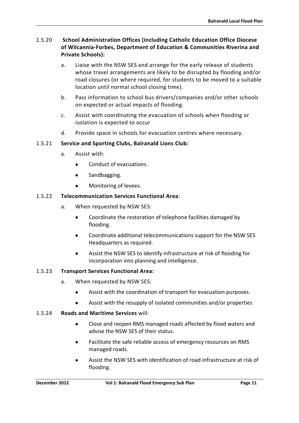### 1.5.20 **School Administration Offices (including Catholic Education Office Diocese of Wilcannia-Forbes, Department of Education & Communities Riverina and Private Schools):**

- a. Liaise with the NSW SES and arrange for the early release of students whose travel arrangements are likely to be disrupted by flooding and/or road closures (or where required, for students to be moved to a suitable location until normal school closing time).
- b. Pass information to school bus drivers/companies and/or other schools on expected or actual impacts of flooding.
- c. Assist with coordinating the evacuation of schools when flooding or isolation is expected to occur
- d. Provide space in schools for evacuation centres where necessary.

### 1.5.21 **Service and Sporting Clubs, Balranald Lions Club:**

- a. Assist with:
	- Conduct of evacuations.
	- Sandbagging.
	- Monitoring of levees.

### 1.5.22 **Telecommunication Services Functional Area**:

- a. When requested by NSW SES:
	- Coordinate the restoration of telephone facilities damaged by flooding.
	- Coordinate additional telecommunications support for the NSW SES Headquarters as required.
	- Assist the NSW SES to identify infrastructure at risk of flooding for incorporation into planning and intelligence.

### 1.5.23 **Transport Services Functional Area:**

- a. When requested by NSW SES:
	- Assist with the coordination of transport for evacuation purposes.
	- Assist with the resupply of isolated communities and/or properties

#### 1.5.24 **Roads and Maritime Services** will:

- Close and reopen RMS managed roads affected by flood waters and advise the NSW SES of their status.
- Facilitate the safe reliable access of emergency resources on RMS managed roads.
- Assist the NSW SES with identification of road infrastructure at risk of flooding.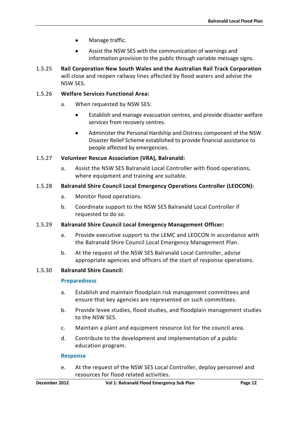- Manage traffic.
- Assist the NSW SES with the communication of warnings and information provision to the public through variable message signs.
- 1.5.25 **Rail Corporation New South Wales and the Australian Rail Track Corporation**  will close and reopen railway lines affected by flood waters and advise the NSW SES.

#### 1.5.26 **Welfare Services Functional Area:**

- a. When requested by NSW SES:
	- Establish and manage evacuation centres, and provide disaster welfare services from recovery centres.
	- Administer the Personal Hardship and Distress component of the NSW Disaster Relief Scheme established to provide financial assistance to people affected by emergencies.

#### 1.5.27 **Volunteer Rescue Association (VRA), Balranald:**

a. Assist the NSW SES Balranald Local Controller with flood operations, where equipment and training are suitable.

#### 1.5.28 **Balranald Shire Council Local Emergency Operations Controller (LEOCON):**

- a. Monitor flood operations.
- b. Coordinate support to the NSW SES Balranald Local Controller if requested to do so.

#### 1.5.29 **Balranald Shire Council Local Emergency Management Officer:**

- a. Provide executive support to the LEMC and LEOCON in accordance with the Balranald Shire Council Local Emergency Management Plan.
- b. At the request of the NSW SES Balranald Local Controller, advise appropriate agencies and officers of the start of response operations.

#### 1.5.30 **Balranald Shire Council:**

#### **Preparedness**

- a. Establish and maintain floodplain risk management committees and ensure that key agencies are represented on such committees.
- b. Provide levee studies, flood studies, and floodplain management studies to the NSW SES.
- c. Maintain a plant and equipment resource list for the council area.
- d. Contribute to the development and implementation of a public education program.

#### **Response**

e. At the request of the NSW SES Local Controller, deploy personnel and resources for flood related activities.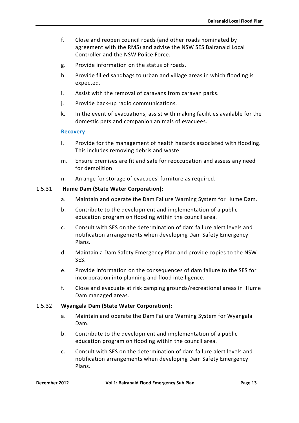- f. Close and reopen council roads (and other roads nominated by agreement with the RMS) and advise the NSW SES Balranald Local Controller and the NSW Police Force.
- g. Provide information on the status of roads.
- h. Provide filled sandbags to urban and village areas in which flooding is expected.
- i. Assist with the removal of caravans from caravan parks.
- j. Provide back-up radio communications.
- k. In the event of evacuations, assist with making facilities available for the domestic pets and companion animals of evacuees.

#### **Recovery**

- l. Provide for the management of health hazards associated with flooding. This includes removing debris and waste.
- m. Ensure premises are fit and safe for reoccupation and assess any need for demolition.
- n. Arrange for storage of evacuees' furniture as required.

#### 1.5.31 **Hume Dam (State Water Corporation):**

- a. Maintain and operate the Dam Failure Warning System for Hume Dam.
- b. Contribute to the development and implementation of a public education program on flooding within the council area.
- c. Consult with SES on the determination of dam failure alert levels and notification arrangements when developing Dam Safety Emergency Plans.
- d. Maintain a Dam Safety Emergency Plan and provide copies to the NSW SES.
- e. Provide information on the consequences of dam failure to the SES for incorporation into planning and flood intelligence.
- f. Close and evacuate at risk camping grounds/recreational areas in Hume Dam managed areas.

#### 1.5.32 **Wyangala Dam (State Water Corporation):**

- a. Maintain and operate the Dam Failure Warning System for Wyangala Dam.
- b. Contribute to the development and implementation of a public education program on flooding within the council area.
- c. Consult with SES on the determination of dam failure alert levels and notification arrangements when developing Dam Safety Emergency Plans.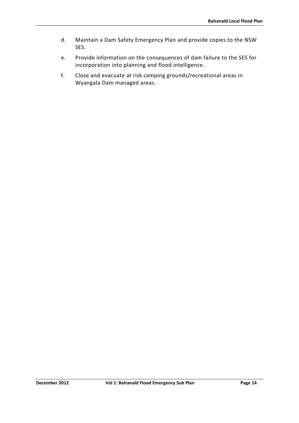- d. Maintain a Dam Safety Emergency Plan and provide copies to the NSW SES.
- e. Provide information on the consequences of dam failure to the SES for incorporation into planning and flood intelligence.
- f. Close and evacuate at risk camping grounds/recreational areas in Wyangala Dam managed areas.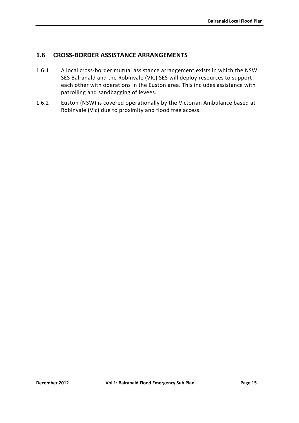# <span id="page-28-0"></span>**1.6 CROSS-BORDER ASSISTANCE ARRANGEMENTS**

- 1.6.1 A local cross-border mutual assistance arrangement exists in which the NSW SES Balranald and the Robinvale (VIC) SES will deploy resources to support each other with operations in the Euston area. This includes assistance with patrolling and sandbagging of levees.
- 1.6.2 Euston (NSW) is covered operationally by the Victorian Ambulance based at Robinvale (Vic) due to proximity and flood free access.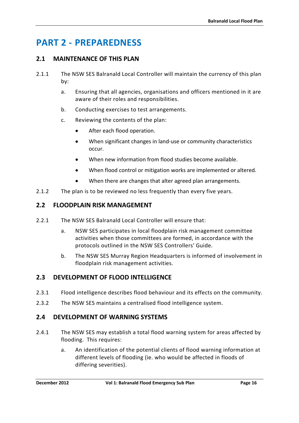# <span id="page-29-0"></span>**PART 2 - PREPAREDNESS**

# <span id="page-29-1"></span>**2.1 MAINTENANCE OF THIS PLAN**

- 2.1.1 The NSW SES Balranald Local Controller will maintain the currency of this plan by:
	- a. Ensuring that all agencies, organisations and officers mentioned in it are aware of their roles and responsibilities.
	- b. Conducting exercises to test arrangements.
	- c. Reviewing the contents of the plan:
		- After each flood operation.
		- When significant changes in land-use or community characteristics occur.
		- When new information from flood studies become available.
		- When flood control or mitigation works are implemented or altered.
		- When there are changes that alter agreed plan arrangements.
- 2.1.2 The plan is to be reviewed no less frequently than every five years.

### <span id="page-29-2"></span>**2.2 FLOODPLAIN RISK MANAGEMENT**

- 2.2.1 The NSW SES Balranald Local Controller will ensure that:
	- a. NSW SES participates in local floodplain risk management committee activities when those committees are formed, in accordance with the protocols outlined in the NSW SES Controllers' Guide.
	- b. The NSW SES Murray Region Headquarters is informed of involvement in floodplain risk management activities.

# <span id="page-29-3"></span>**2.3 DEVELOPMENT OF FLOOD INTELLIGENCE**

- 2.3.1 Flood intelligence describes flood behaviour and its effects on the community.
- 2.3.2 The NSW SES maintains a centralised flood intelligence system.

# <span id="page-29-4"></span>**2.4 DEVELOPMENT OF WARNING SYSTEMS**

- 2.4.1 The NSW SES may establish a total flood warning system for areas affected by flooding. This requires:
	- a. An identification of the potential clients of flood warning information at different levels of flooding (ie. who would be affected in floods of differing severities).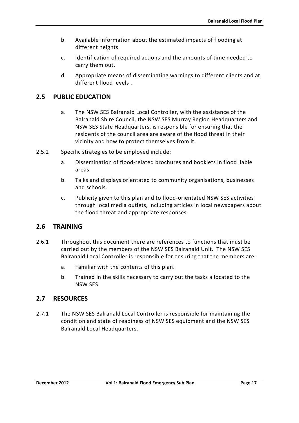- b. Available information about the estimated impacts of flooding at different heights.
- c. Identification of required actions and the amounts of time needed to carry them out.
- d. Appropriate means of disseminating warnings to different clients and at different flood levels .

# <span id="page-30-0"></span>**2.5 PUBLIC EDUCATION**

- a. The NSW SES Balranald Local Controller, with the assistance of the Balranald Shire Council, the NSW SES Murray Region Headquarters and NSW SES State Headquarters, is responsible for ensuring that the residents of the council area are aware of the flood threat in their vicinity and how to protect themselves from it.
- 2.5.2 Specific strategies to be employed include:
	- a. Dissemination of flood-related brochures and booklets in flood liable areas.
	- b. Talks and displays orientated to community organisations, businesses and schools.
	- c. Publicity given to this plan and to flood-orientated NSW SES activities through local media outlets, including articles in local newspapers about the flood threat and appropriate responses.

# <span id="page-30-1"></span>**2.6 TRAINING**

- 2.6.1 Throughout this document there are references to functions that must be carried out by the members of the NSW SES Balranald Unit. The NSW SES Balranald Local Controller is responsible for ensuring that the members are:
	- a. Familiar with the contents of this plan.
	- b. Trained in the skills necessary to carry out the tasks allocated to the NSW SES.

# <span id="page-30-2"></span>**2.7 RESOURCES**

2.7.1 The NSW SES Balranald Local Controller is responsible for maintaining the condition and state of readiness of NSW SES equipment and the NSW SES Balranald Local Headquarters.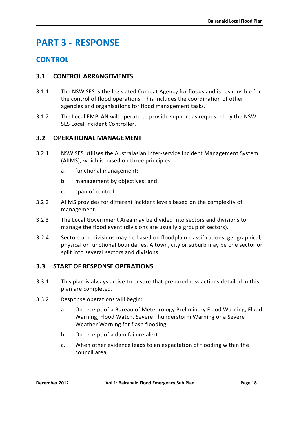# <span id="page-31-0"></span>**PART 3 - RESPONSE**

# **CONTROL**

# <span id="page-31-1"></span>**3.1 CONTROL ARRANGEMENTS**

- 3.1.1 The NSW SES is the legislated Combat Agency for floods and is responsible for the control of flood operations. This includes the coordination of other agencies and organisations for flood management tasks.
- 3.1.2 The Local EMPLAN will operate to provide support as requested by the NSW SES Local Incident Controller.

# <span id="page-31-2"></span>**3.2 OPERATIONAL MANAGEMENT**

- 3.2.1 NSW SES utilises the Australasian Inter-service Incident Management System (AIIMS), which is based on three principles:
	- a. functional management;
	- b. management by objectives; and
	- c. span of control.
- 3.2.2 AIIMS provides for different incident levels based on the complexity of management.
- 3.2.3 The Local Government Area may be divided into sectors and divisions to manage the flood event (divisions are usually a group of sectors).
- 3.2.4 Sectors and divisions may be based on floodplain classifications, geographical, physical or functional boundaries. A town, city or suburb may be one sector or split into several sectors and divisions.

# <span id="page-31-3"></span>**3.3 START OF RESPONSE OPERATIONS**

- 3.3.1 This plan is always active to ensure that preparedness actions detailed in this plan are completed.
- 3.3.2 Response operations will begin:
	- a. On receipt of a Bureau of Meteorology Preliminary Flood Warning, Flood Warning, Flood Watch, Severe Thunderstorm Warning or a Severe Weather Warning for flash flooding.
	- b. On receipt of a dam failure alert.
	- c. When other evidence leads to an expectation of flooding within the council area.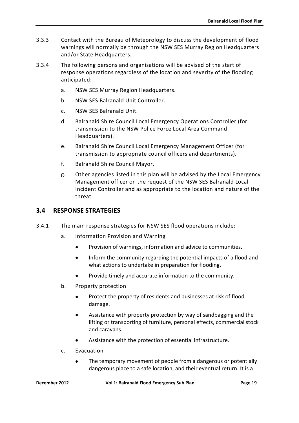- 3.3.3 Contact with the Bureau of Meteorology to discuss the development of flood warnings will normally be through the NSW SES Murray Region Headquarters and/or State Headquarters.
- 3.3.4 The following persons and organisations will be advised of the start of response operations regardless of the location and severity of the flooding anticipated:
	- a. NSW SES Murray Region Headquarters.
	- b. NSW SES Balranald Unit Controller.
	- c. NSW SES Balranald Unit.
	- d. Balranald Shire Council Local Emergency Operations Controller (for transmission to the NSW Police Force Local Area Command Headquarters).
	- e. Balranald Shire Council Local Emergency Management Officer (for transmission to appropriate council officers and departments).
	- f. Balranald Shire Council Mayor.
	- g. Other agencies listed in this plan will be advised by the Local Emergency Management officer on the request of the NSW SES Balranald Local Incident Controller and as appropriate to the location and nature of the threat.

# <span id="page-32-0"></span>**3.4 RESPONSE STRATEGIES**

- 3.4.1 The main response strategies for NSW SES flood operations include:
	- a. Information Provision and Warning
		- Provision of warnings, information and advice to communities.
		- Inform the community regarding the potential impacts of a flood and what actions to undertake in preparation for flooding.
		- Provide timely and accurate information to the community.
	- b. Property protection
		- Protect the property of residents and businesses at risk of flood damage.
		- Assistance with property protection by way of sandbagging and the lifting or transporting of furniture, personal effects, commercial stock and caravans.
		- Assistance with the protection of essential infrastructure.
	- c. Evacuation
		- The temporary movement of people from a dangerous or potentially dangerous place to a safe location, and their eventual return. It is a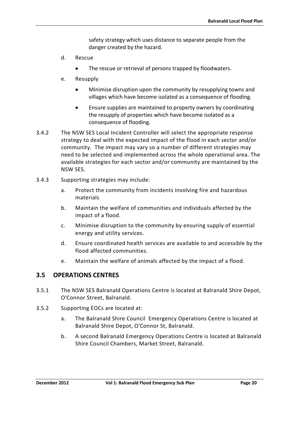safety strategy which uses distance to separate people from the danger created by the hazard.

- d. Rescue
	- The rescue or retrieval of persons trapped by floodwaters.
- e. Resupply
	- Minimise disruption upon the community by resupplying towns and villages which have become isolated as a consequence of flooding.
	- Ensure supplies are maintained to property owners by coordinating the resupply of properties which have become isolated as a consequence of flooding.
- 3.4.2 The NSW SES Local Incident Controller will select the appropriate response strategy to deal with the expected impact of the flood in each sector and/or community. The impact may vary so a number of different strategies may need to be selected and implemented across the whole operational area. The available strategies for each sector and/or community are maintained by the NSW SES.
- 3.4.3 Supporting strategies may include:
	- a. Protect the community from incidents involving fire and hazardous materials
	- b. Maintain the welfare of communities and individuals affected by the impact of a flood.
	- c. Minimise disruption to the community by ensuring supply of essential energy and utility services.
	- d. Ensure coordinated health services are available to and accessible by the flood affected communities.
	- e. Maintain the welfare of animals affected by the impact of a flood.

### <span id="page-33-0"></span>**3.5 OPERATIONS CENTRES**

- 3.5.1 The NSW SES Balranald Operations Centre is located at Balranald Shire Depot, O'Connor Street, Balranald.
- 3.5.2 Supporting EOCs are located at:
	- a. The Balranald Shire Council Emergency Operations Centre is located at Balranald Shire Depot, O'Connor St, Balranald.
	- b. A second Balranald Emergency Operations Centre is located at Balranald Shire Council Chambers, Market Street, Balranald.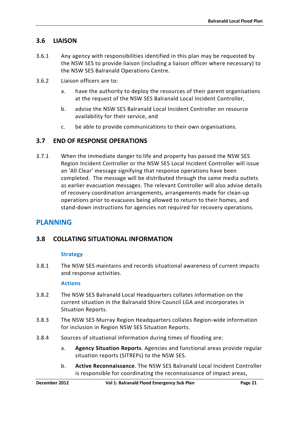# <span id="page-34-0"></span>**3.6 LIAISON**

- 3.6.1 Any agency with responsibilities identified in this plan may be requested by the NSW SES to provide liaison (including a liaison officer where necessary) to the NSW SES Balranald Operations Centre.
- 3.6.2 Liaison officers are to:
	- a. have the authority to deploy the resources of their parent organisations at the request of the NSW SES Balranald Local Incident Controller,
	- b. advise the NSW SES Balranald Local Incident Controller on resource availability for their service, and
	- c. be able to provide communications to their own organisations.

# <span id="page-34-1"></span>**3.7 END OF RESPONSE OPERATIONS**

3.7.1 When the immediate danger to life and property has passed the NSW SES Region Incident Controller or the NSW SES Local Incident Controller will issue an 'All Clear' message signifying that response operations have been completed. The message will be distributed through the same media outlets as earlier evacuation messages. The relevant Controller will also advise details of recovery coordination arrangements, arrangements made for clean-up operations prior to evacuees being allowed to return to their homes, and stand-down instructions for agencies not required for recovery operations.

# **PLANNING**

# <span id="page-34-2"></span>**3.8 COLLATING SITUATIONAL INFORMATION**

### **Strategy**

3.8.1 The NSW SES maintains and records situational awareness of current impacts and response activities.

#### **Actions**

- 3.8.2 The NSW SES Balranald Local Headquarters collates information on the current situation in the Balranald Shire Council LGA and incorporates in Situation Reports.
- 3.8.3 The NSW SES Murray Region Headquarters collates Region-wide information for inclusion in Region NSW SES Situation Reports.
- 3.8.4 Sources of situational information during times of flooding are:
	- a. **Agency Situation Reports**. Agencies and functional areas provide regular situation reports (SITREPs) to the NSW SES.
	- b. **Active Reconnaissance**. The NSW SES Balranald Local Incident Controller is responsible for coordinating the reconnaissance of impact areas,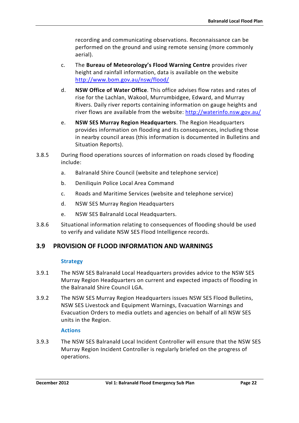recording and communicating observations. Reconnaissance can be performed on the ground and using remote sensing (more commonly aerial).

- c. The **Bureau of Meteorology's Flood Warning Centre** provides river height and rainfall information, data is available on the website <http://www.bom.gov.au/nsw/flood/>
- d. **NSW Office of Water Office**. This office advises flow rates and rates of rise for the Lachlan, Wakool, Murrumbidgee, Edward, and Murray Rivers. Daily river reports containing information on gauge heights and river flows are available from the website:<http://waterinfo.nsw.gov.au/>
- e. **NSW SES Murray Region Headquarters**. The Region Headquarters provides information on flooding and its consequences, including those in nearby council areas (this information is documented in Bulletins and Situation Reports).
- 3.8.5 During flood operations sources of information on roads closed by flooding include:
	- a. Balranald Shire Council (website and telephone service)
	- b. Deniliquin Police Local Area Command
	- c. Roads and Maritime Services (website and telephone service)
	- d. NSW SES Murray Region Headquarters
	- e. NSW SES Balranald Local Headquarters.
- 3.8.6 Situational information relating to consequences of flooding should be used to verify and validate NSW SES Flood Intelligence records.

# <span id="page-35-0"></span>**3.9 PROVISION OF FLOOD INFORMATION AND WARNINGS**

### **Strategy**

- 3.9.1 The NSW SES Balranald Local Headquarters provides advice to the NSW SES Murray Region Headquarters on current and expected impacts of flooding in the Balranald Shire Council LGA.
- 3.9.2 The NSW SES Murray Region Headquarters issues NSW SES Flood Bulletins, NSW SES Livestock and Equipment Warnings, Evacuation Warnings and Evacuation Orders to media outlets and agencies on behalf of all NSW SES units in the Region.

### **Actions**

3.9.3 The NSW SES Balranald Local Incident Controller will ensure that the NSW SES Murray Region Incident Controller is regularly briefed on the progress of operations.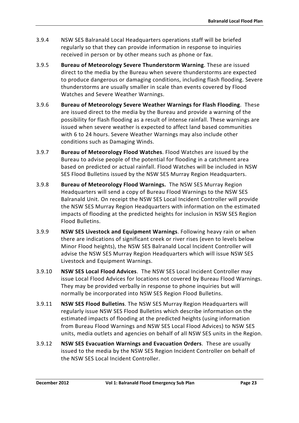- 3.9.4 NSW SES Balranald Local Headquarters operations staff will be briefed regularly so that they can provide information in response to inquiries received in person or by other means such as phone or fax.
- 3.9.5 **Bureau of Meteorology Severe Thunderstorm Warning**. These are issued direct to the media by the Bureau when severe thunderstorms are expected to produce dangerous or damaging conditions, including flash flooding. Severe thunderstorms are usually smaller in scale than events covered by Flood Watches and Severe Weather Warnings.
- 3.9.6 **Bureau of Meteorology Severe Weather Warnings for Flash Flooding**. These are issued direct to the media by the Bureau and provide a warning of the possibility for flash flooding as a result of intense rainfall. These warnings are issued when severe weather is expected to affect land based communities with 6 to 24 hours. Severe Weather Warnings may also include other conditions such as Damaging Winds.
- 3.9.7 **Bureau of Meteorology Flood Watches**. Flood Watches are issued by the Bureau to advise people of the potential for flooding in a catchment area based on predicted or actual rainfall. Flood Watches will be included in NSW SES Flood Bulletins issued by the NSW SES Murray Region Headquarters.
- 3.9.8 **Bureau of Meteorology Flood Warnings.** The NSW SES Murray Region Headquarters will send a copy of Bureau Flood Warnings to the NSW SES Balranald Unit. On receipt the NSW SES Local Incident Controller will provide the NSW SES Murray Region Headquarters with information on the estimated impacts of flooding at the predicted heights for inclusion in NSW SES Region Flood Bulletins.
- 3.9.9 **NSW SES Livestock and Equipment Warnings**. Following heavy rain or when there are indications of significant creek or river rises (even to levels below Minor Flood heights), the NSW SES Balranald Local Incident Controller will advise the NSW SES Murray Region Headquarters which will issue NSW SES Livestock and Equipment Warnings.
- 3.9.10 **NSW SES Local Flood Advices**. The NSW SES Local Incident Controller may issue Local Flood Advices for locations not covered by Bureau Flood Warnings. They may be provided verbally in response to phone inquiries but will normally be incorporated into NSW SES Region Flood Bulletins.
- 3.9.11 **NSW SES Flood Bulletins**. The NSW SES Murray Region Headquarters will regularly issue NSW SES Flood Bulletins which describe information on the estimated impacts of flooding at the predicted heights (using information from Bureau Flood Warnings and NSW SES Local Flood Advices) to NSW SES units, media outlets and agencies on behalf of all NSW SES units in the Region.
- 3.9.12 **NSW SES Evacuation Warnings and Evacuation Orders**. These are usually issued to the media by the NSW SES Region Incident Controller on behalf of the NSW SES Local Incident Controller.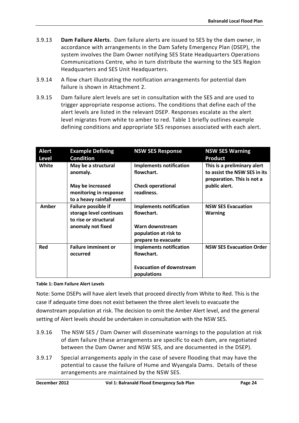- 3.9.13 **Dam Failure Alerts**. Dam failure alerts are issued to SES by the dam owner, in accordance with arrangements in the Dam Safety Emergency Plan (DSEP), the system involves the Dam Owner notifying SES State Headquarters Operations Communications Centre, who in turn distribute the warning to the SES Region Headquarters and SES Unit Headquarters.
- 3.9.14 A flow chart illustrating the notification arrangements for potential dam failure is shown in Attachment 2.
- 3.9.15 Dam failure alert levels are set in consultation with the SES and are used to trigger appropriate response actions. The conditions that define each of the alert levels are listed in the relevant DSEP. Responses escalate as the alert level migrates from white to amber to red. Table 1 briefly outlines example defining conditions and appropriate SES responses associated with each alert.

| <b>Alert</b> | <b>Example Defining</b>                                                 | <b>NSW SES Response</b>                                         | <b>NSW SES Warning</b>                                                                    |
|--------------|-------------------------------------------------------------------------|-----------------------------------------------------------------|-------------------------------------------------------------------------------------------|
| <b>Level</b> | <b>Condition</b>                                                        |                                                                 | <b>Product</b>                                                                            |
| White        | May be a structural<br>anomaly.                                         | <b>Implements notification</b><br>flowchart.                    | This is a preliminary alert<br>to assist the NSW SES in its<br>preparation. This is not a |
|              | May be increased<br>monitoring in response<br>to a heavy rainfall event | <b>Check operational</b><br>readiness.                          | public alert.                                                                             |
| Amber        | Failure possible if<br>storage level continues<br>to rise or structural | <b>Implements notification</b><br>flowchart.                    | <b>NSW SES Evacuation</b><br><b>Warning</b>                                               |
|              | anomaly not fixed                                                       | Warn downstream<br>population at risk to<br>prepare to evacuate |                                                                                           |
| Red          | <b>Failure imminent or</b><br>occurred                                  | <b>Implements notification</b><br>flowchart.                    | <b>NSW SES Evacuation Order</b>                                                           |
|              |                                                                         | <b>Evacuation of downstream</b><br>populations                  |                                                                                           |

#### <span id="page-37-0"></span>**Table 1: Dam Failure Alert Levels**

Note: Some DSEPs will have alert levels that proceed directly from White to Red. This is the case if adequate time does not exist between the three alert levels to evacuate the downstream population at risk. The decision to omit the Amber Alert level, and the general setting of Alert levels should be undertaken in consultation with the NSW SES.

- 3.9.16 The NSW SES / Dam Owner will disseminate warnings to the population at risk of dam failure (these arrangements are specific to each dam, are negotiated between the Dam Owner and NSW SES, and are documented in the DSEP).
- 3.9.17 Special arrangements apply in the case of severe flooding that may have the potential to cause the failure of Hume and Wyangala Dams. Details of these arrangements are maintained by the NSW SES.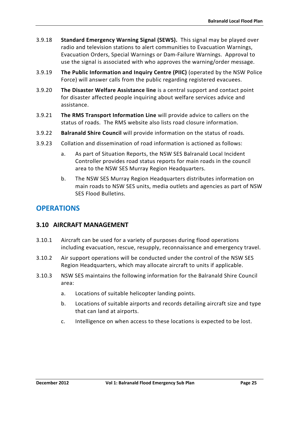- 3.9.18 **Standard Emergency Warning Signal (SEWS).** This signal may be played over radio and television stations to alert communities to Evacuation Warnings, Evacuation Orders, Special Warnings or Dam-Failure Warnings. Approval to use the signal is associated with who approves the warning/order message.
- 3.9.19 **The Public Information and Inquiry Centre (PIIC)** (operated by the NSW Police Force) will answer calls from the public regarding registered evacuees.
- 3.9.20 **The Disaster Welfare Assistance line** is a central support and contact point for disaster affected people inquiring about welfare services advice and assistance.
- 3.9.21 **The RMS Transport Information Line** will provide advice to callers on the status of roads. The RMS website also lists road closure information.
- 3.9.22 **Balranald Shire Council** will provide information on the status of roads.
- 3.9.23 Collation and dissemination of road information is actioned as follows:
	- a. As part of Situation Reports, the NSW SES Balranald Local Incident Controller provides road status reports for main roads in the council area to the NSW SES Murray Region Headquarters.
	- b. The NSW SES Murray Region Headquarters distributes information on main roads to NSW SES units, media outlets and agencies as part of NSW SES Flood Bulletins.

# **OPERATIONS**

# <span id="page-38-0"></span>**3.10 AIRCRAFT MANAGEMENT**

- 3.10.1 Aircraft can be used for a variety of purposes during flood operations including evacuation, rescue, resupply, reconnaissance and emergency travel.
- 3.10.2 Air support operations will be conducted under the control of the NSW SES Region Headquarters, which may allocate aircraft to units if applicable.
- 3.10.3 NSW SES maintains the following information for the Balranald Shire Council area:
	- a. Locations of suitable helicopter landing points.
	- b. Locations of suitable airports and records detailing aircraft size and type that can land at airports.
	- c. Intelligence on when access to these locations is expected to be lost.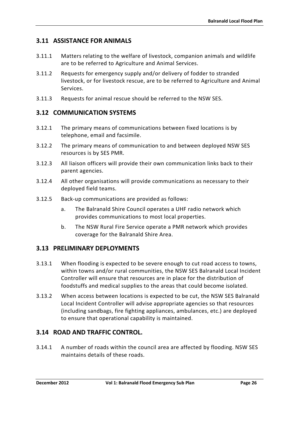# <span id="page-39-0"></span>**3.11 ASSISTANCE FOR ANIMALS**

- 3.11.1 Matters relating to the welfare of livestock, companion animals and wildlife are to be referred to Agriculture and Animal Services.
- 3.11.2 Requests for emergency supply and/or delivery of fodder to stranded livestock, or for livestock rescue, are to be referred to Agriculture and Animal Services.
- 3.11.3 Requests for animal rescue should be referred to the NSW SES.

# <span id="page-39-1"></span>**3.12 COMMUNICATION SYSTEMS**

- 3.12.1 The primary means of communications between fixed locations is by telephone, email and facsimile.
- 3.12.2 The primary means of communication to and between deployed NSW SES resources is by SES PMR.
- 3.12.3 All liaison officers will provide their own communication links back to their parent agencies.
- 3.12.4 All other organisations will provide communications as necessary to their deployed field teams.
- 3.12.5 Back-up communications are provided as follows:
	- a. The Balranald Shire Council operates a UHF radio network which provides communications to most local properties.
	- b. The NSW Rural Fire Service operate a PMR network which provides coverage for the Balranald Shire Area.

# <span id="page-39-2"></span>**3.13 PRELIMINARY DEPLOYMENTS**

- 3.13.1 When flooding is expected to be severe enough to cut road access to towns, within towns and/or rural communities, the NSW SES Balranald Local Incident Controller will ensure that resources are in place for the distribution of foodstuffs and medical supplies to the areas that could become isolated.
- 3.13.2 When access between locations is expected to be cut, the NSW SES Balranald Local Incident Controller will advise appropriate agencies so that resources (including sandbags, fire fighting appliances, ambulances, etc.) are deployed to ensure that operational capability is maintained.

# <span id="page-39-3"></span>**3.14 ROAD AND TRAFFIC CONTROL.**

3.14.1 A number of roads within the council area are affected by flooding. NSW SES maintains details of these roads.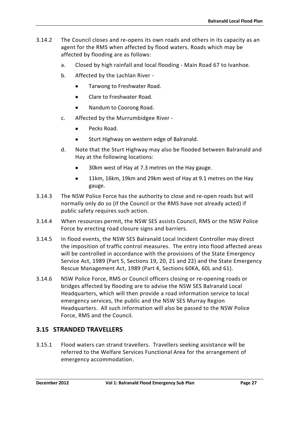- 3.14.2 The Council closes and re-opens its own roads and others in its capacity as an agent for the RMS when affected by flood waters. Roads which may be affected by flooding are as follows:
	- a. Closed by high rainfall and local flooding Main Road 67 to Ivanhoe.
	- b. Affected by the Lachlan River
		- Tarwong to Freshwater Road.
		- Clare to Freshwater Road.
		- Nandum to Coorong Road.
	- c. Affected by the Murrumbidgee River
		- Pecks Road.
		- Sturt Highway on western edge of Balranald.
	- d. Note that the Sturt Highway may also be flooded between Balranald and Hay at the following locations:
		- 30km west of Hay at 7.3 metres on the Hay gauge.
		- 11km, 16km, 19km and 29km west of Hay at 9.1 metres on the Hay gauge.
- 3.14.3 The NSW Police Force has the authority to close and re-open roads but will normally only do so (if the Council or the RMS have not already acted) if public safety requires such action.
- 3.14.4 When resources permit, the NSW SES assists Council, RMS or the NSW Police Force by erecting road closure signs and barriers.
- 3.14.5 In flood events, the NSW SES Balranald Local Incident Controller may direct the imposition of traffic control measures. The entry into flood affected areas will be controlled in accordance with the provisions of the State Emergency Service Act, 1989 (Part 5, Sections 19, 20, 21 and 22) and the State Emergency Rescue Management Act, 1989 (Part 4, Sections 60KA, 60L and 61).
- 3.14.6 NSW Police Force, RMS or Council officers closing or re-opening roads or bridges affected by flooding are to advise the NSW SES Balranald Local Headquarters, which will then provide a road information service to local emergency services, the public and the NSW SES Murray Region Headquarters. All such information will also be passed to the NSW Police Force, RMS and the Council.

# <span id="page-40-0"></span>**3.15 STRANDED TRAVELLERS**

3.15.1 Flood waters can strand travellers. Travellers seeking assistance will be referred to the Welfare Services Functional Area for the arrangement of emergency accommodation.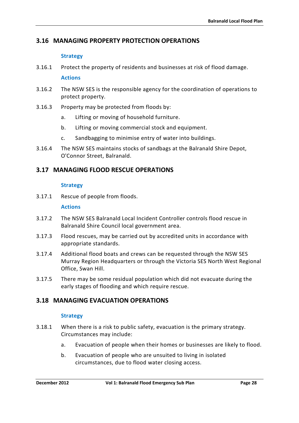# <span id="page-41-0"></span>**3.16 MANAGING PROPERTY PROTECTION OPERATIONS**

#### **Strategy**

3.16.1 Protect the property of residents and businesses at risk of flood damage.

#### **Actions**

- 3.16.2 The NSW SES is the responsible agency for the coordination of operations to protect property.
- 3.16.3 Property may be protected from floods by:
	- a. Lifting or moving of household furniture.
	- b. Lifting or moving commercial stock and equipment.
	- c. Sandbagging to minimise entry of water into buildings.
- 3.16.4 The NSW SES maintains stocks of sandbags at the Balranald Shire Depot, O'Connor Street, Balranald.

# <span id="page-41-1"></span>**3.17 MANAGING FLOOD RESCUE OPERATIONS**

### **Strategy**

3.17.1 Rescue of people from floods.

#### **Actions**

- 3.17.2 The NSW SES Balranald Local Incident Controller controls flood rescue in Balranald Shire Council local government area.
- 3.17.3 Flood rescues, may be carried out by accredited units in accordance with appropriate standards.
- 3.17.4 Additional flood boats and crews can be requested through the NSW SES Murray Region Headquarters or through the Victoria SES North West Regional Office, Swan Hill.
- 3.17.5 There may be some residual population which did not evacuate during the early stages of flooding and which require rescue.

# <span id="page-41-2"></span>**3.18 MANAGING EVACUATION OPERATIONS**

### **Strategy**

- 3.18.1 When there is a risk to public safety, evacuation is the primary strategy. Circumstances may include:
	- a. Evacuation of people when their homes or businesses are likely to flood.
	- b. Evacuation of people who are unsuited to living in isolated circumstances, due to flood water closing access.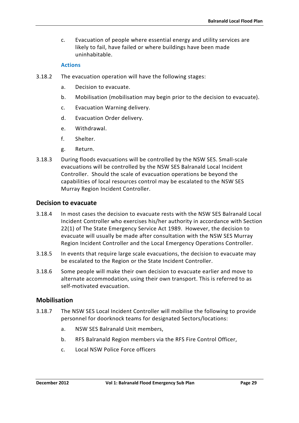c. Evacuation of people where essential energy and utility services are likely to fail, have failed or where buildings have been made uninhabitable.

#### **Actions**

- 3.18.2 The evacuation operation will have the following stages:
	- a. Decision to evacuate.
	- b. Mobilisation (mobilisation may begin prior to the decision to evacuate).
	- c. Evacuation Warning delivery.
	- d. Evacuation Order delivery.
	- e. Withdrawal.
	- f. Shelter.
	- g. Return.
- 3.18.3 During floods evacuations will be controlled by the NSW SES. Small-scale evacuations will be controlled by the NSW SES Balranald Local Incident Controller. Should the scale of evacuation operations be beyond the capabilities of local resources control may be escalated to the NSW SES Murray Region Incident Controller.

### **Decision to evacuate**

- 3.18.4 In most cases the decision to evacuate rests with the NSW SES Balranald Local Incident Controller who exercises his/her authority in accordance with Section 22(1) of The State Emergency Service Act 1989. However, the decision to evacuate will usually be made after consultation with the NSW SES Murray Region Incident Controller and the Local Emergency Operations Controller.
- 3.18.5 In events that require large scale evacuations, the decision to evacuate may be escalated to the Region or the State Incident Controller.
- 3.18.6 Some people will make their own decision to evacuate earlier and move to alternate accommodation, using their own transport. This is referred to as self-motivated evacuation.

### **Mobilisation**

- 3.18.7 The NSW SES Local Incident Controller will mobilise the following to provide personnel for doorknock teams for designated Sectors/locations:
	- a. NSW SES Balranald Unit members,
	- b. RFS Balranald Region members via the RFS Fire Control Officer,
	- c. Local NSW Police Force officers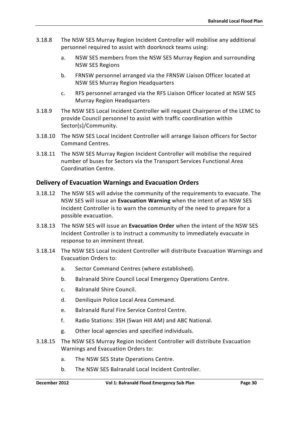- 3.18.8 The NSW SES Murray Region Incident Controller will mobilise any additional personnel required to assist with doorknock teams using:
	- a. NSW SES members from the NSW SES Murray Region and surrounding NSW SES Regions
	- b. FRNSW personnel arranged via the FRNSW Liaison Officer located at NSW SES Murray Region Headquarters
	- c. RFS personnel arranged via the RFS Liaison Officer located at NSW SES Murray Region Headquarters
- 3.18.9 The NSW SES Local Incident Controller will request Chairperon of the LEMC to provide Council personnel to assist with traffic coordination within Sector(s)/Community.
- 3.18.10 The NSW SES Local Incident Controller will arrange liaison officers for Sector Command Centres.
- 3.18.11 The NSW SES Murray Region Incident Controller will mobilise the required number of buses for Sectors via the Transport Services Functional Area Coordination Centre.

# **Delivery of Evacuation Warnings and Evacuation Orders**

- 3.18.12 The NSW SES will advise the community of the requirements to evacuate. The NSW SES will issue an **Evacuation Warning** when the intent of an NSW SES Incident Controller is to warn the community of the need to prepare for a possible evacuation.
- 3.18.13 The NSW SES will issue an **Evacuation Order** when the intent of the NSW SES Incident Controller is to instruct a community to immediately evacuate in response to an imminent threat.
- 3.18.14 The NSW SES Local Incident Controller will distribute Evacuation Warnings and Evacuation Orders to:
	- a. Sector Command Centres (where established).
	- b. Balranald Shire Council Local Emergency Operations Centre.
	- c. Balranald Shire Council.
	- d. Deniliquin Police Local Area Command.
	- e. Balranald Rural Fire Service Control Centre.
	- f. Radio Stations: 3SH (Swan Hill AM) and ABC National.
	- g. Other local agencies and specified individuals.
- 3.18.15 The NSW SES Murray Region Incident Controller will distribute Evacuation Warnings and Evacuation Orders to:
	- a. The NSW SES State Operations Centre.
	- b. The NSW SES Balranald Local Incident Controller.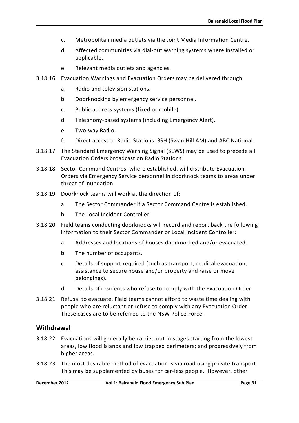- c. Metropolitan media outlets via the Joint Media Information Centre.
- d. Affected communities via dial-out warning systems where installed or applicable.
- e. Relevant media outlets and agencies.
- 3.18.16 Evacuation Warnings and Evacuation Orders may be delivered through:
	- a. Radio and television stations.
	- b. Doorknocking by emergency service personnel.
	- c. Public address systems (fixed or mobile).
	- d. Telephony-based systems (including Emergency Alert).
	- e. Two-way Radio.
	- f. Direct access to Radio Stations: 3SH (Swan Hill AM) and ABC National.
- 3.18.17 The Standard Emergency Warning Signal (SEWS) may be used to precede all Evacuation Orders broadcast on Radio Stations.
- 3.18.18 Sector Command Centres, where established, will distribute Evacuation Orders via Emergency Service personnel in doorknock teams to areas under threat of inundation.
- 3.18.19 Doorknock teams will work at the direction of:
	- a. The Sector Commander if a Sector Command Centre is established.
	- b. The Local Incident Controller.
- 3.18.20 Field teams conducting doorknocks will record and report back the following information to their Sector Commander or Local Incident Controller:
	- a. Addresses and locations of houses doorknocked and/or evacuated.
	- b. The number of occupants.
	- c. Details of support required (such as transport, medical evacuation, assistance to secure house and/or property and raise or move belongings).
	- d. Details of residents who refuse to comply with the Evacuation Order.
- 3.18.21 Refusal to evacuate. Field teams cannot afford to waste time dealing with people who are reluctant or refuse to comply with any Evacuation Order. These cases are to be referred to the NSW Police Force.

### **Withdrawal**

- 3.18.22 Evacuations will generally be carried out in stages starting from the lowest areas, low flood islands and low trapped perimeters; and progressively from higher areas.
- 3.18.23 The most desirable method of evacuation is via road using private transport. This may be supplemented by buses for car-less people. However, other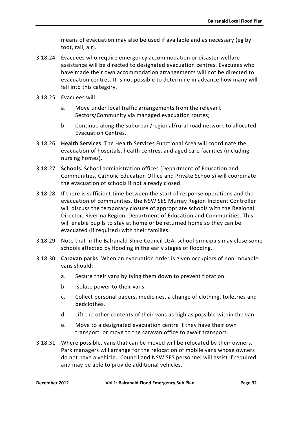means of evacuation may also be used if available and as necessary (eg by foot, rail, air).

- 3.18.24 Evacuees who require emergency accommodation or disaster welfare assistance will be directed to designated evacuation centres. Evacuees who have made their own accommodation arrangements will not be directed to evacuation centres. It is not possible to determine in advance how many will fall into this category.
- 3.18.25 Evacuees will:
	- a. Move under local traffic arrangements from the relevant Sectors/Community via managed evacuation routes;
	- b. Continue along the suburban/regional/rural road network to allocated Evacuation Centres.
- 3.18.26 **Health Services**. The Health Services Functional Area will coordinate the evacuation of hospitals, health centres, and aged care facilities (including nursing homes).
- 3.18.27 **Schools.** School administration offices (Department of Education and Communities, Catholic Education Office and Private Schools) will coordinate the evacuation of schools if not already closed.
- 3.18.28 If there is sufficient time between the start of response operations and the evacuation of communities, the NSW SES Murray Region Incident Controller will discuss the temporary closure of appropriate schools with the Regional Director, Riverina Region, Department of Education and Communities. This will enable pupils to stay at home or be returned home so they can be evacuated (if required) with their families.
- 3.18.29 Note that in the Balranald Shire Council LGA, school principals may close some schools affected by flooding in the early stages of flooding.
- 3.18.30 **Caravan parks**. When an evacuation order is given occupiers of non-movable vans should:
	- a. Secure their vans by tying them down to prevent flotation.
	- b. Isolate power to their vans.
	- c. Collect personal papers, medicines, a change of clothing, toiletries and bedclothes.
	- d. Lift the other contents of their vans as high as possible within the van.
	- e. Move to a designated evacuation centre if they have their own transport, or move to the caravan office to await transport.
- 3.18.31 Where possible, vans that can be moved will be relocated by their owners. Park managers will arrange for the relocation of mobile vans whose owners do not have a vehicle. Council and NSW SES personnel will assist if required and may be able to provide additional vehicles.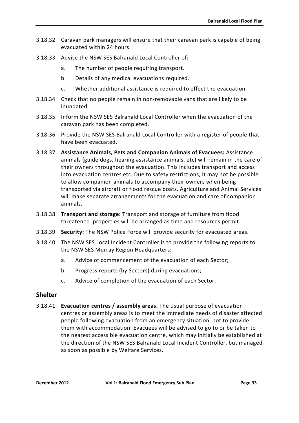- 3.18.32 Caravan park managers will ensure that their caravan park is capable of being evacuated within 24 hours.
- 3.18.33 Advise the NSW SES Balranald Local Controller of:
	- a. The number of people requiring transport.
	- b. Details of any medical evacuations required.
	- c. Whether additional assistance is required to effect the evacuation.
- 3.18.34 Check that no people remain in non-removable vans that are likely to be inundated.
- 3.18.35 Inform the NSW SES Balranald Local Controller when the evacuation of the caravan park has been completed.
- 3.18.36 Provide the NSW SES Balranald Local Controller with a register of people that have been evacuated.
- 3.18.37 **Assistance Animals, Pets and Companion Animals of Evacuees:** Assistance animals (guide dogs, hearing assistance animals, etc) will remain in the care of their owners throughout the evacuation. This includes transport and access into evacuation centres etc. Due to safety restrictions, it may not be possible to allow companion animals to accompany their owners when being transported via aircraft or flood rescue boats. Agriculture and Animal Services will make separate arrangements for the evacuation and care of companion animals.
- 3.18.38 **Transport and storage:** Transport and storage of furniture from flood threatened properties will be arranged as time and resources permit.
- 3.18.39 **Security:** The NSW Police Force will provide security for evacuated areas.
- 3.18.40 The NSW SES Local Incident Controller is to provide the following reports to the NSW SES Murray Region Headquarters:
	- a. Advice of commencement of the evacuation of each Sector;
	- b. Progress reports (by Sectors) during evacuations;
	- c. Advice of completion of the evacuation of each Sector.

# **Shelter**

3.18.41 **Evacuation centres / assembly areas.** The usual purpose of evacuation centres or assembly areas is to meet the immediate needs of disaster affected people following evacuation from an emergency situation, not to provide them with accommodation. Evacuees will be advised to go to or be taken to the nearest accessible evacuation centre, which may initially be established at the direction of the NSW SES Balranald Local Incident Controller, but managed as soon as possible by Welfare Services.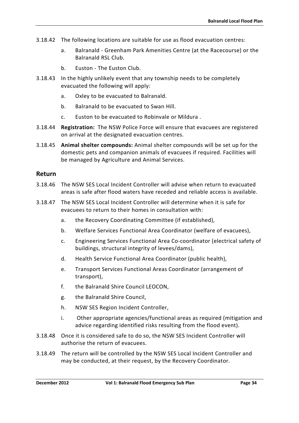- 3.18.42 The following locations are suitable for use as flood evacuation centres:
	- a. Balranald Greenham Park Amenities Centre (at the Racecourse) or the Balranald RSL Club.
	- b. Euston The Euston Club.
- 3.18.43 In the highly unlikely event that any township needs to be completely evacuated the following will apply:
	- a. Oxley to be evacuated to Balranald.
	- b. Balranald to be evacuated to Swan Hill.
	- c. Euston to be evacuated to Robinvale or Mildura .
- 3.18.44 **Registration:** The NSW Police Force will ensure that evacuees are registered on arrival at the designated evacuation centres.
- 3.18.45 **Animal shelter compounds:** Animal shelter compounds will be set up for the domestic pets and companion animals of evacuees if required. Facilities will be managed by Agriculture and Animal Services.

### **Return**

- 3.18.46 The NSW SES Local Incident Controller will advise when return to evacuated areas is safe after flood waters have receded and reliable access is available.
- 3.18.47 The NSW SES Local Incident Controller will determine when it is safe for evacuees to return to their homes in consultation with:
	- a. the Recovery Coordinating Committee (if established),
	- b. Welfare Services Functional Area Coordinator (welfare of evacuees),
	- c. Engineering Services Functional Area Co-coordinator (electrical safety of buildings, structural integrity of levees/dams),
	- d. Health Service Functional Area Coordinator (public health),
	- e. Transport Services Functional Areas Coordinator (arrangement of transport),
	- f. the Balranald Shire Council LEOCON,
	- g. the Balranald Shire Council,
	- h. NSW SES Region Incident Controller,
	- i. Other appropriate agencies/functional areas as required (mitigation and advice regarding identified risks resulting from the flood event).
- 3.18.48 Once it is considered safe to do so, the NSW SES Incident Controller will authorise the return of evacuees.
- 3.18.49 The return will be controlled by the NSW SES Local Incident Controller and may be conducted, at their request, by the Recovery Coordinator.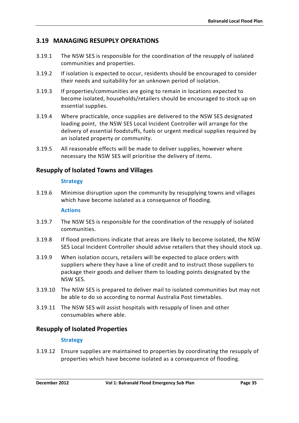# <span id="page-48-0"></span>**3.19 MANAGING RESUPPLY OPERATIONS**

- 3.19.1 The NSW SES is responsible for the coordination of the resupply of isolated communities and properties.
- 3.19.2 If isolation is expected to occur, residents should be encouraged to consider their needs and suitability for an unknown period of isolation.
- 3.19.3 If properties/communities are going to remain in locations expected to become isolated, households/retailers should be encouraged to stock up on essential supplies.
- 3.19.4 Where practicable, once supplies are delivered to the NSW SES designated loading point, the NSW SES Local Incident Controller will arrange for the delivery of essential foodstuffs, fuels or urgent medical supplies required by an isolated property or community.
- 3.19.5 All reasonable effects will be made to deliver supplies, however where necessary the NSW SES will prioritise the delivery of items.

# **Resupply of Isolated Towns and Villages**

#### **Strategy**

3.19.6 Minimise disruption upon the community by resupplying towns and villages which have become isolated as a consequence of flooding.

#### **Actions**

- 3.19.7 The NSW SES is responsible for the coordination of the resupply of isolated communities.
- 3.19.8 If flood predictions indicate that areas are likely to become isolated, the NSW SES Local Incident Controller should advise retailers that they should stock up.
- 3.19.9 When isolation occurs, retailers will be expected to place orders with suppliers where they have a line of credit and to instruct those suppliers to package their goods and deliver them to loading points designated by the NSW SES.
- 3.19.10 The NSW SES is prepared to deliver mail to isolated communities but may not be able to do so according to normal Australia Post timetables.
- 3.19.11 The NSW SES will assist hospitals with resupply of linen and other consumables where able.

# **Resupply of Isolated Properties**

### **Strategy**

3.19.12 Ensure supplies are maintained to properties by coordinating the resupply of properties which have become isolated as a consequence of flooding.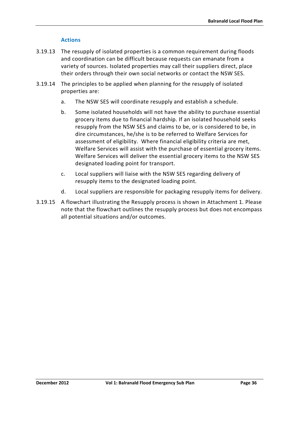### **Actions**

- 3.19.13 The resupply of isolated properties is a common requirement during floods and coordination can be difficult because requests can emanate from a variety of sources. Isolated properties may call their suppliers direct, place their orders through their own social networks or contact the NSW SES.
- 3.19.14 The principles to be applied when planning for the resupply of isolated properties are:
	- a. The NSW SES will coordinate resupply and establish a schedule.
	- b. Some isolated households will not have the ability to purchase essential grocery items due to financial hardship. If an isolated household seeks resupply from the NSW SES and claims to be, or is considered to be, in dire circumstances, he/she is to be referred to Welfare Services for assessment of eligibility. Where financial eligibility criteria are met, Welfare Services will assist with the purchase of essential grocery items. Welfare Services will deliver the essential grocery items to the NSW SES designated loading point for transport.
	- c. Local suppliers will liaise with the NSW SES regarding delivery of resupply items to the designated loading point.
	- d. Local suppliers are responsible for packaging resupply items for delivery.
- 3.19.15 A flowchart illustrating the Resupply process is shown in Attachment 1. Please note that the flowchart outlines the resupply process but does not encompass all potential situations and/or outcomes.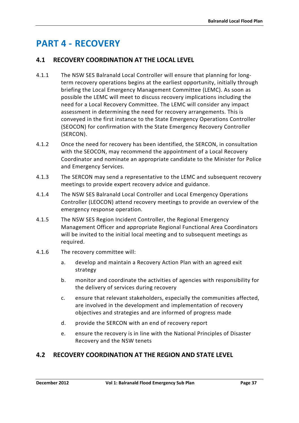# <span id="page-50-0"></span>**PART 4 - RECOVERY**

# <span id="page-50-1"></span>**4.1 RECOVERY COORDINATION AT THE LOCAL LEVEL**

- 4.1.1 The NSW SES Balranald Local Controller will ensure that planning for longterm recovery operations begins at the earliest opportunity, initially through briefing the Local Emergency Management Committee (LEMC). As soon as possible the LEMC will meet to discuss recovery implications including the need for a Local Recovery Committee. The LEMC will consider any impact assessment in determining the need for recovery arrangements. This is conveyed in the first instance to the State Emergency Operations Controller (SEOCON) for confirmation with the State Emergency Recovery Controller (SERCON).
- 4.1.2 Once the need for recovery has been identified, the SERCON, in consultation with the SEOCON, may recommend the appointment of a Local Recovery Coordinator and nominate an appropriate candidate to the Minister for Police and Emergency Services.
- 4.1.3 The SERCON may send a representative to the LEMC and subsequent recovery meetings to provide expert recovery advice and guidance.
- 4.1.4 The NSW SES Balranald Local Controller and Local Emergency Operations Controller (LEOCON) attend recovery meetings to provide an overview of the emergency response operation.
- 4.1.5 The NSW SES Region Incident Controller, the Regional Emergency Management Officer and appropriate Regional Functional Area Coordinators will be invited to the initial local meeting and to subsequent meetings as required.
- 4.1.6 The recovery committee will:
	- a. develop and maintain a Recovery Action Plan with an agreed exit strategy
	- b. monitor and coordinate the activities of agencies with responsibility for the delivery of services during recovery
	- c. ensure that relevant stakeholders, especially the communities affected, are involved in the development and implementation of recovery objectives and strategies and are informed of progress made
	- d. provide the SERCON with an end of recovery report
	- e. ensure the recovery is in line with the National Principles of Disaster Recovery and the NSW tenets

# <span id="page-50-2"></span>**4.2 RECOVERY COORDINATION AT THE REGION AND STATE LEVEL**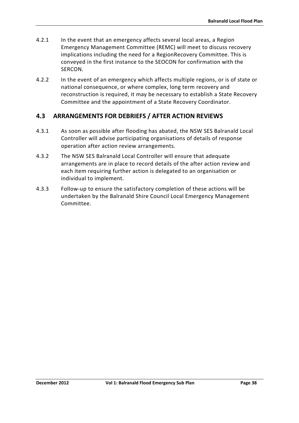- 4.2.1 In the event that an emergency affects several local areas, a Region Emergency Management Committee (REMC) will meet to discuss recovery implications including the need for a RegionRecovery Committee. This is conveyed in the first instance to the SEOCON for confirmation with the SERCON.
- 4.2.2 In the event of an emergency which affects multiple regions, or is of state or national consequence, or where complex, long term recovery and reconstruction is required, it may be necessary to establish a State Recovery Committee and the appointment of a State Recovery Coordinator.

# <span id="page-51-0"></span>**4.3 ARRANGEMENTS FOR DEBRIEFS / AFTER ACTION REVIEWS**

- 4.3.1 As soon as possible after flooding has abated, the NSW SES Balranald Local Controller will advise participating organisations of details of response operation after action review arrangements.
- 4.3.2 The NSW SES Balranald Local Controller will ensure that adequate arrangements are in place to record details of the after action review and each item requiring further action is delegated to an organisation or individual to implement.
- 4.3.3 Follow-up to ensure the satisfactory completion of these actions will be undertaken by the Balranald Shire Council Local Emergency Management Committee.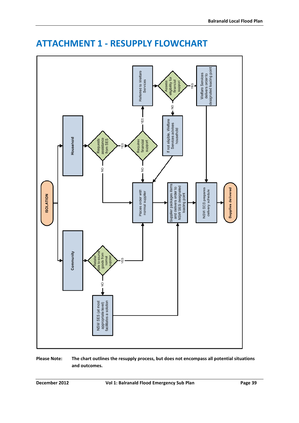

# <span id="page-52-0"></span>**ATTACHMENT 1 - RESUPPLY FLOWCHART**

**Please Note: The chart outlines the resupply process, but does not encompass all potential situations and outcomes.**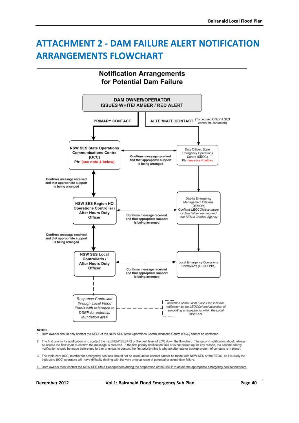# <span id="page-53-0"></span>**ATTACHMENT 2 - DAM FAILURE ALERT NOTIFICATION ARRANGEMENTS FLOWCHART**